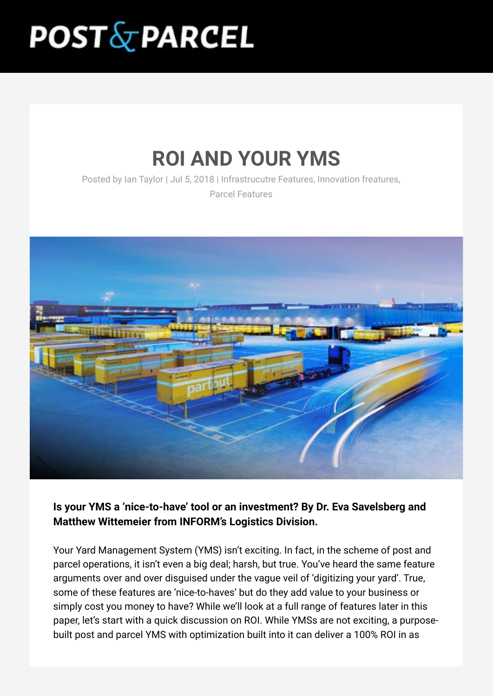# **POST&PARCEL**

# **ROI AND YOUR YMS**

Posted by Ian Taylor | Jul 5, 2018 | Infrastrucutre Features, Innovation freatures,

Parcel Features



**Is your YMS a 'nice-to-have' tool or an investment? By Dr. Eva Savelsberg and Matthew Wittemeier from INFORM's Logistics Division.**

Your Yard Management System (YMS) isn't exciting. In fact, in the scheme of post and parcel operations, it isn't even a big deal; harsh, but true. You've heard the same feature arguments over and over disguised under the vague veil of 'digitizing your yard'. True, some of these features are 'nice-to-haves' but do they add value to your business or simply cost you money to have? While we'll look at a full range of features later in this paper, let's start with a quick discussion on ROI. While YMSs are not exciting, a purposebuilt post and parcel YMS with optimization built into it can deliver a 100% ROI in as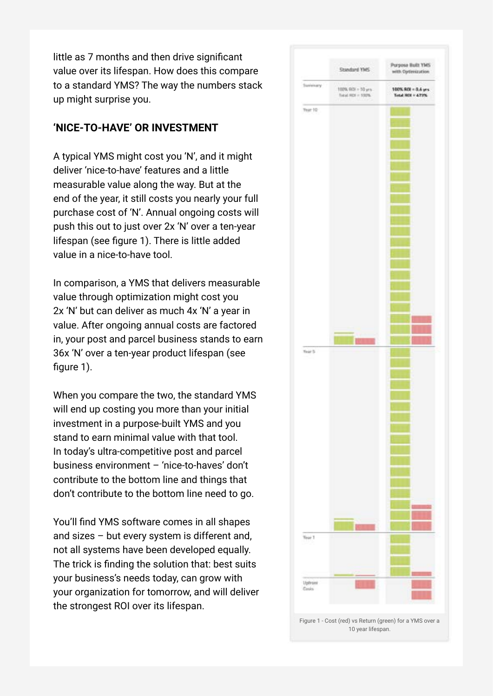little as 7 months and then drive significant value over its lifespan. How does this compare to a standard YMS? The way the numbers stack up might surprise you.

#### **'NICE-TO-HAVE' OR INVESTMENT**

A typical YMS might cost you 'N', and it might deliver 'nice-to-have' features and a little measurable value along the way. But at the end of the year, it still costs you nearly your full purchase cost of 'N'. Annual ongoing costs will push this out to just over 2x 'N' over a ten-year lifespan (see figure 1). There is little added value in a nice-to-have tool.

In comparison, a YMS that delivers measurable value through optimization might cost you 2x 'N' but can deliver as much 4x 'N' a year in value. After ongoing annual costs are factored in, your post and parcel business stands to earn 36x 'N' over a ten-year product lifespan (see figure 1).

When you compare the two, the standard YMS will end up costing you more than your initial investment in a purpose-built YMS and you stand to earn minimal value with that tool. In today's ultra-competitive post and parcel business environment – 'nice-to-haves' don't contribute to the bottom line and things that don't contribute to the bottom line need to go.

You'll find YMS software comes in all shapes and sizes – but every system is different and, not all systems have been developed equally. The trick is finding the solution that: best suits your business's needs today, can grow with your organization for tomorrow, and will deliver the strongest ROI over its lifespan.

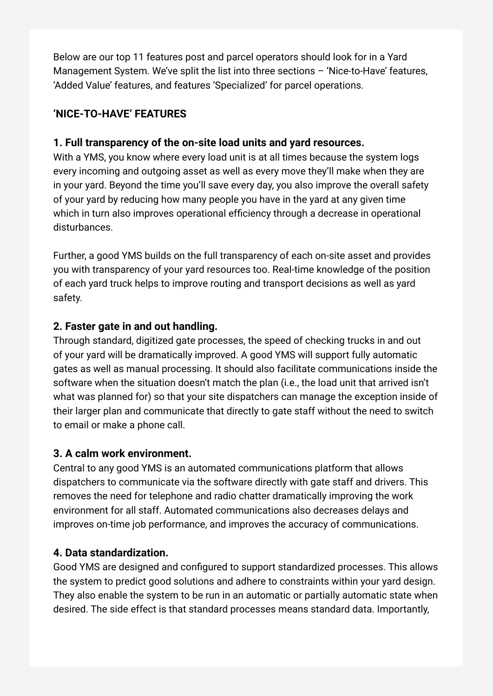Below are our top 11 features post and parcel operators should look for in a Yard Management System. We've split the list into three sections – 'Nice-to-Have' features, 'Added Value' features, and features 'Specialized' for parcel operations.

# **'NICE-TO-HAVE' FEATURES**

## **1. Full transparency of the on-site load units and yard resources.**

With a YMS, you know where every load unit is at all times because the system logs every incoming and outgoing asset as well as every move they'll make when they are in your yard. Beyond the time you'll save every day, you also improve the overall safety of your yard by reducing how many people you have in the yard at any given time which in turn also improves operational efficiency through a decrease in operational disturbances.

Further, a good YMS builds on the full transparency of each on-site asset and provides you with transparency of your yard resources too. Real-time knowledge of the position of each yard truck helps to improve routing and transport decisions as well as yard safety.

# **2. Faster gate in and out handling.**

Through standard, digitized gate processes, the speed of checking trucks in and out of your yard will be dramatically improved. A good YMS will support fully automatic gates as well as manual processing. It should also facilitate communications inside the software when the situation doesn't match the plan (i.e., the load unit that arrived isn't what was planned for) so that your site dispatchers can manage the exception inside of their larger plan and communicate that directly to gate staff without the need to switch to email or make a phone call.

# **3. A calm work environment.**

Central to any good YMS is an automated communications platform that allows dispatchers to communicate via the software directly with gate staff and drivers. This removes the need for telephone and radio chatter dramatically improving the work environment for all staff. Automated communications also decreases delays and improves on-time job performance, and improves the accuracy of communications.

# **4. Data standardization.**

Good YMS are designed and configured to support standardized processes. This allows the system to predict good solutions and adhere to constraints within your yard design. They also enable the system to be run in an automatic or partially automatic state when desired. The side effect is that standard processes means standard data. Importantly,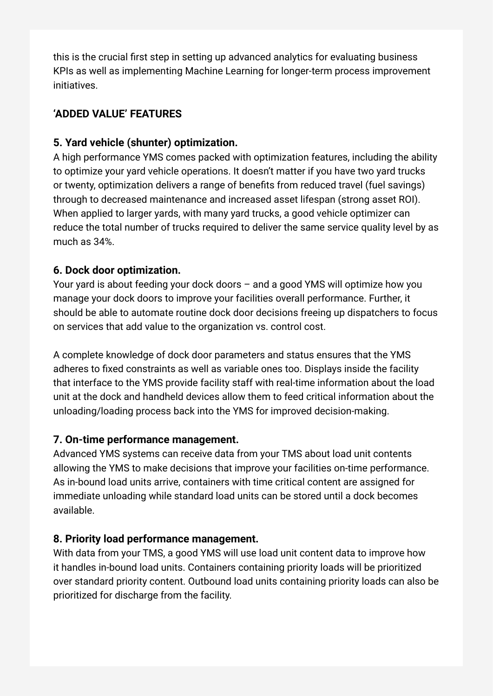this is the crucial first step in setting up advanced analytics for evaluating business KPIs as well as implementing Machine Learning for longer-term process improvement initiatives.

# **'ADDED VALUE' FEATURES**

#### **5. Yard vehicle (shunter) optimization.**

A high performance YMS comes packed with optimization features, including the ability to optimize your yard vehicle operations. It doesn't matter if you have two yard trucks or twenty, optimization delivers a range of benefits from reduced travel (fuel savings) through to decreased maintenance and increased asset lifespan (strong asset ROI). When applied to larger yards, with many yard trucks, a good vehicle optimizer can reduce the total number of trucks required to deliver the same service quality level by as much as 34%.

#### **6. Dock door optimization.**

Your yard is about feeding your dock doors – and a good YMS will optimize how you manage your dock doors to improve your facilities overall performance. Further, it should be able to automate routine dock door decisions freeing up dispatchers to focus on services that add value to the organization vs. control cost.

A complete knowledge of dock door parameters and status ensures that the YMS adheres to fixed constraints as well as variable ones too. Displays inside the facility that interface to the YMS provide facility staff with real-time information about the load unit at the dock and handheld devices allow them to feed critical information about the unloading/loading process back into the YMS for improved decision-making.

# **7. On-time performance management.**

Advanced YMS systems can receive data from your TMS about load unit contents allowing the YMS to make decisions that improve your facilities on-time performance. As in-bound load units arrive, containers with time critical content are assigned for immediate unloading while standard load units can be stored until a dock becomes available.

#### **8. Priority load performance management.**

With data from your TMS, a good YMS will use load unit content data to improve how it handles in-bound load units. Containers containing priority loads will be prioritized over standard priority content. Outbound load units containing priority loads can also be prioritized for discharge from the facility.